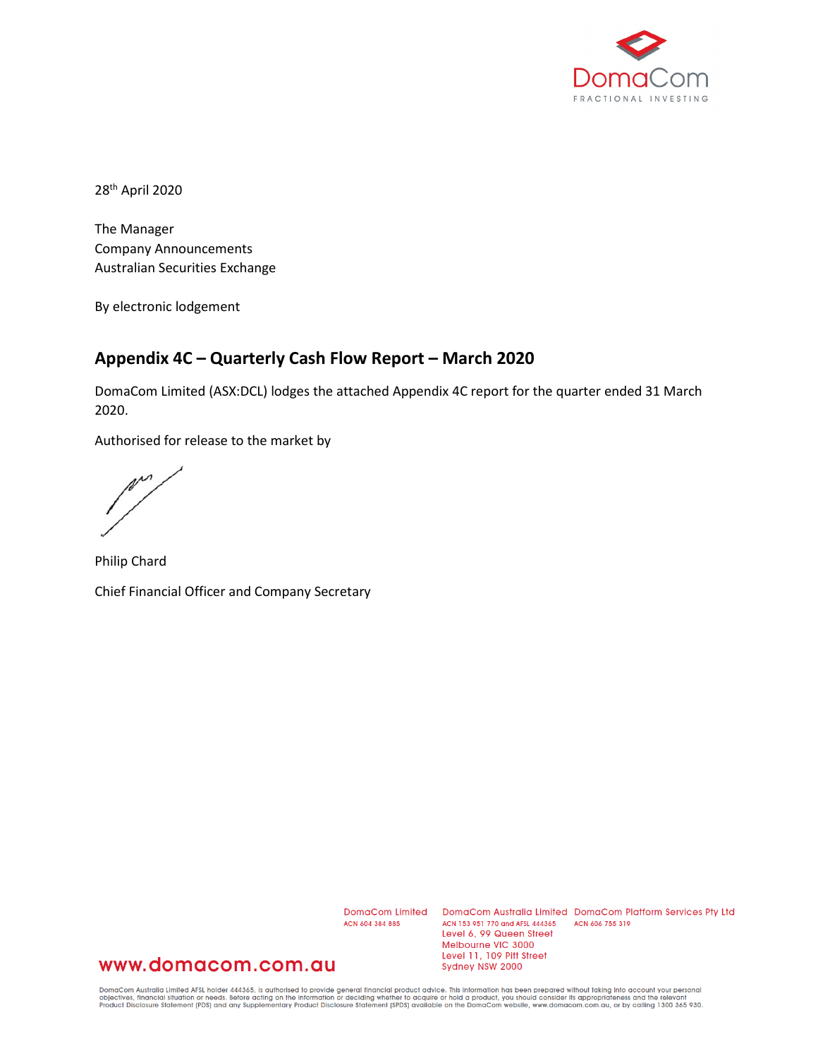

28th April 2020

The Manager Company Announcements Australian Securities Exchange

By electronic lodgement

### **Appendix 4C – Quarterly Cash Flow Report – March 2020**

DomaCom Limited (ASX:DCL) lodges the attached Appendix 4C report for the quarter ended 31 March 2020.

Authorised for release to the market by

m

Philip Chard Chief Financial Officer and Company Secretary

ACN 604 384 885

DomaCom Limited DomaCom Australia Limited DomaCom Platform Services Pty Ltd ACN 153 951 770 and AFSL 444365 ACN 606 755 319 Level 6, 99 Queen Street Melbourne VIC 3000 Level 11, 109 Pitt Street Sydney NSW 2000

## www.domacom.com.au

DomaCom Australia Limited AFSL holder 444365, is authorised to provide general financial product advice. This information has been prepared without taking into account your personal<br>objectives, financial situation or needs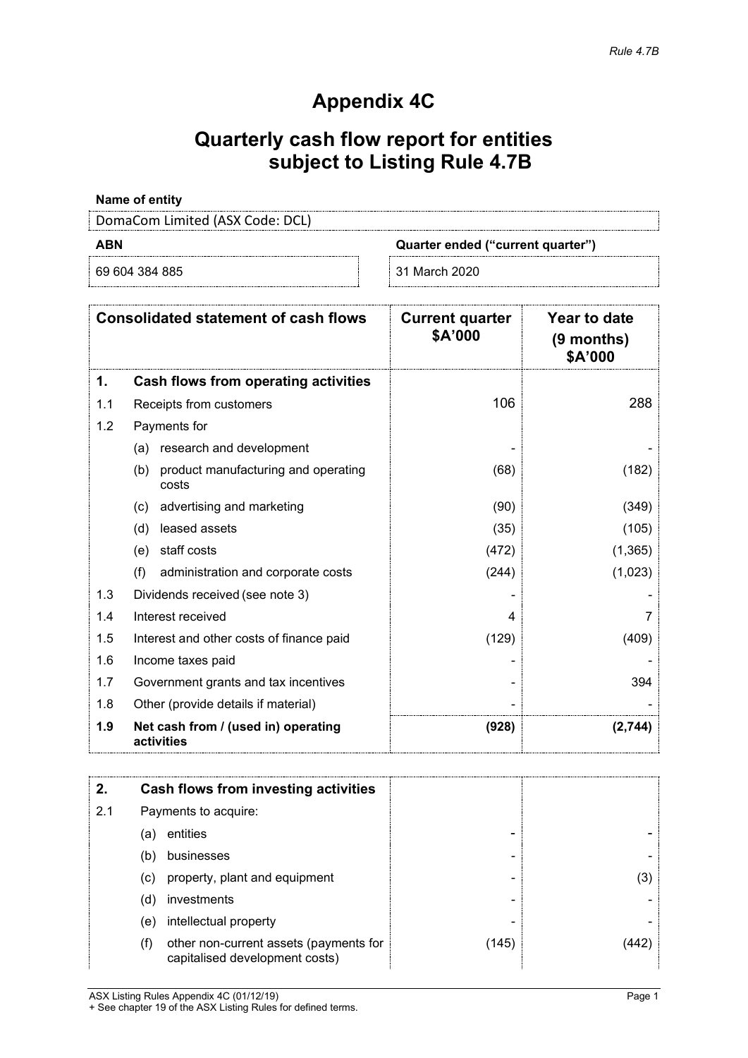## **Appendix 4C**

# **Quarterly cash flow report for entities subject to Listing Rule 4.7B**

### **Name of entity**

DomaCom Limited (ASX Code: DCL)

| - |  |
|---|--|
| ٠ |  |
|   |  |

69 604 384 885 31 March 2020

**ABN Quarter ended ("current quarter")**

|     | <b>Consolidated statement of cash flows</b>         | <b>Current quarter</b><br>\$A'000 | <b>Year to date</b><br>$(9$ months)<br>\$A'000 |
|-----|-----------------------------------------------------|-----------------------------------|------------------------------------------------|
| 1.  | Cash flows from operating activities                |                                   |                                                |
| 1.1 | Receipts from customers                             | 106                               | 288                                            |
| 1.2 | Payments for                                        |                                   |                                                |
|     | research and development<br>(a)                     |                                   |                                                |
|     | product manufacturing and operating<br>(b)<br>costs | (68)                              | (182)                                          |
|     | advertising and marketing<br>(c)                    | (90)                              | (349)                                          |
|     | leased assets<br>(d)                                | (35)                              | (105)                                          |
|     | staff costs<br>(e)                                  | (472)                             | (1, 365)                                       |
|     | (f)<br>administration and corporate costs           | (244)                             | (1,023)                                        |
| 1.3 | Dividends received (see note 3)                     |                                   |                                                |
| 1.4 | Interest received                                   |                                   |                                                |
| 1.5 | Interest and other costs of finance paid            | (129)                             | (409)                                          |
| 1.6 | Income taxes paid                                   |                                   |                                                |
| 1.7 | Government grants and tax incentives                |                                   | 394                                            |
| 1.8 | Other (provide details if material)                 |                                   |                                                |
| 1.9 | Net cash from / (used in) operating<br>activities   | (928)                             | (2,744)                                        |

|     |     | Cash flows from investing activities                                     |       |     |
|-----|-----|--------------------------------------------------------------------------|-------|-----|
| 2.1 |     | Payments to acquire:                                                     |       |     |
|     | (a) | entities                                                                 |       |     |
|     | (b) | businesses                                                               |       |     |
|     | (c) | property, plant and equipment                                            |       | (3) |
|     | (d) | investments                                                              |       |     |
|     | (e) | intellectual property                                                    |       |     |
|     | (f) | other non-current assets (payments for<br>capitalised development costs) | (145) |     |

ASX Listing Rules Appendix 4C (01/12/19) Page 1 + See chapter 19 of the ASX Listing Rules for defined terms.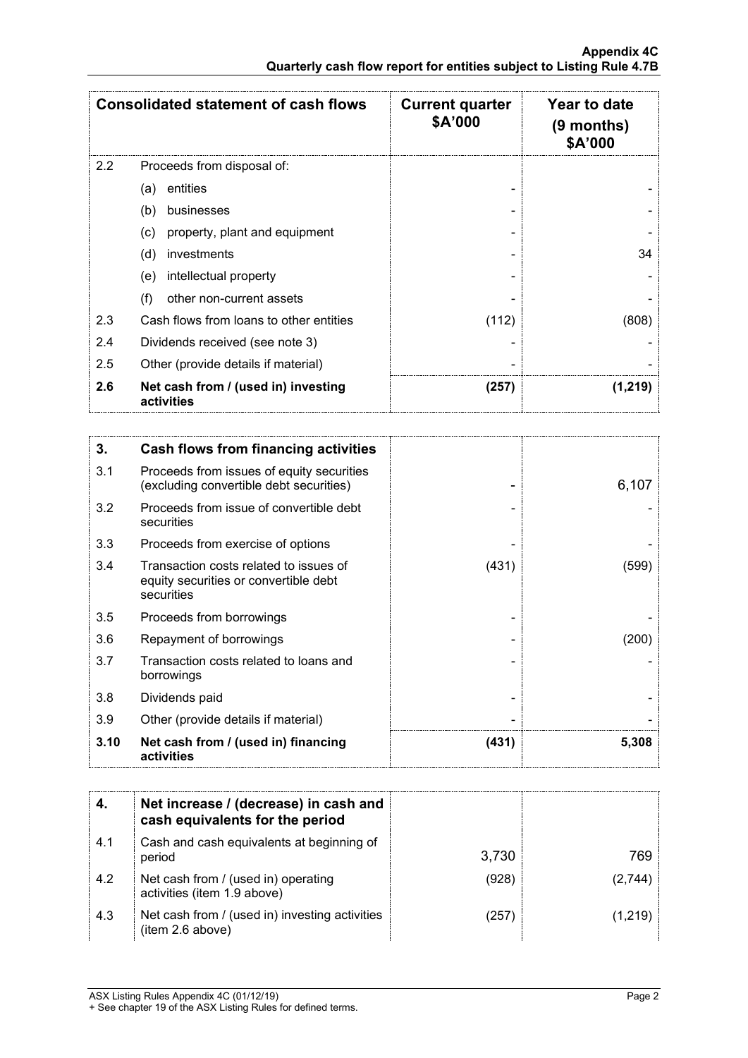|     | <b>Consolidated statement of cash flows</b>       | <b>Current quarter</b><br>\$A'000 | Year to date<br>$(9$ months)<br>\$A'000 |
|-----|---------------------------------------------------|-----------------------------------|-----------------------------------------|
| 2.2 | Proceeds from disposal of:                        |                                   |                                         |
|     | entities<br>(a)                                   |                                   |                                         |
|     | (b)<br>businesses                                 |                                   |                                         |
|     | property, plant and equipment<br>(c)              |                                   |                                         |
|     | (d)<br>investments                                |                                   | 34                                      |
|     | intellectual property<br>(e)                      |                                   |                                         |
|     | (f)<br>other non-current assets                   |                                   |                                         |
| 2.3 | Cash flows from loans to other entities           | (112)                             | (808)                                   |
| 2.4 | Dividends received (see note 3)                   |                                   |                                         |
| 2.5 | Other (provide details if material)               |                                   |                                         |
| 2.6 | Net cash from / (used in) investing<br>activities | (257)                             | (1,219)                                 |

| 3.   | Cash flows from financing activities                                                          |       |       |
|------|-----------------------------------------------------------------------------------------------|-------|-------|
| 3.1  | Proceeds from issues of equity securities<br>(excluding convertible debt securities)          |       | 6,107 |
| 3.2  | Proceeds from issue of convertible debt<br>securities                                         |       |       |
| 3.3  | Proceeds from exercise of options                                                             |       |       |
| 3.4  | Transaction costs related to issues of<br>equity securities or convertible debt<br>securities | (431) | (599) |
| 3.5  | Proceeds from borrowings                                                                      |       |       |
| 3.6  | Repayment of borrowings                                                                       |       | (200) |
| 3.7  | Transaction costs related to loans and<br>borrowings                                          |       |       |
| 3.8  | Dividends paid                                                                                |       |       |
| 3.9  | Other (provide details if material)                                                           |       |       |
| 3.10 | Net cash from / (used in) financing<br>activities                                             | (431) | 5,308 |

|     | Net increase / (decrease) in cash and<br>cash equivalents for the period |       |       |
|-----|--------------------------------------------------------------------------|-------|-------|
| 4.1 | Cash and cash equivalents at beginning of<br>period                      | 3,730 | 769.  |
| 4.2 | Net cash from / (used in) operating<br>activities (item 1.9 above)       | (928) |       |
| 4.3 | Net cash from / (used in) investing activities<br>(item 2.6 above)       | (257  | 1,219 |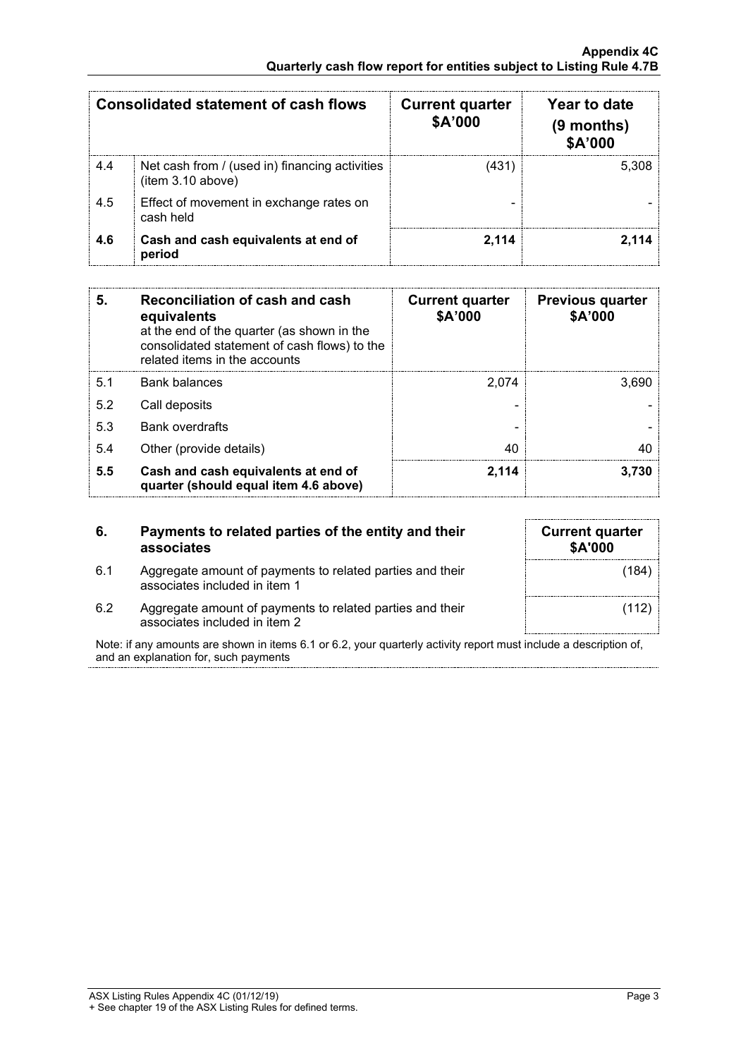|     | <b>Consolidated statement of cash flows</b>                         | <b>Current quarter</b><br><b>\$A'000</b> | Year to date<br>(9 months)<br>\$A'000 |
|-----|---------------------------------------------------------------------|------------------------------------------|---------------------------------------|
| 4.4 | Net cash from / (used in) financing activities<br>(item 3.10 above) | (431)                                    | 5.308                                 |
| 4.5 | Effect of movement in exchange rates on<br>cash held                |                                          |                                       |
| 4.6 | Cash and cash equivalents at end of<br>period                       | 2.114                                    |                                       |

| 5   | Reconciliation of cash and cash<br>equivalents<br>at the end of the quarter (as shown in the<br>consolidated statement of cash flows) to the<br>related items in the accounts | <b>Current quarter</b><br>\$A'000 | <b>Previous quarter</b><br>\$A'000 |
|-----|-------------------------------------------------------------------------------------------------------------------------------------------------------------------------------|-----------------------------------|------------------------------------|
| 5.1 | Bank balances                                                                                                                                                                 | 2.074                             | 3.690                              |
| 5.2 | Call deposits                                                                                                                                                                 |                                   |                                    |
| 5.3 | <b>Bank overdrafts</b>                                                                                                                                                        |                                   |                                    |
| 5.4 | Other (provide details)                                                                                                                                                       | 40                                |                                    |
| 5.5 | Cash and cash equivalents at end of<br>quarter (should equal item 4.6 above)                                                                                                  | 2,114                             | 3.730                              |

| 6.  | Payments to related parties of the entity and their<br>associates                          |
|-----|--------------------------------------------------------------------------------------------|
| 6.1 | Aggregate amount of payments to related parties and their<br>associates included in item 1 |

| <b>Current quarter</b><br>\$A'000 |       |
|-----------------------------------|-------|
|                                   | (184) |
|                                   | (112) |

6.2 Aggregate amount of payments to related parties and their associates included in item 2

Note: if any amounts are shown in items 6.1 or 6.2, your quarterly activity report must include a description of, and an explanation for, such payments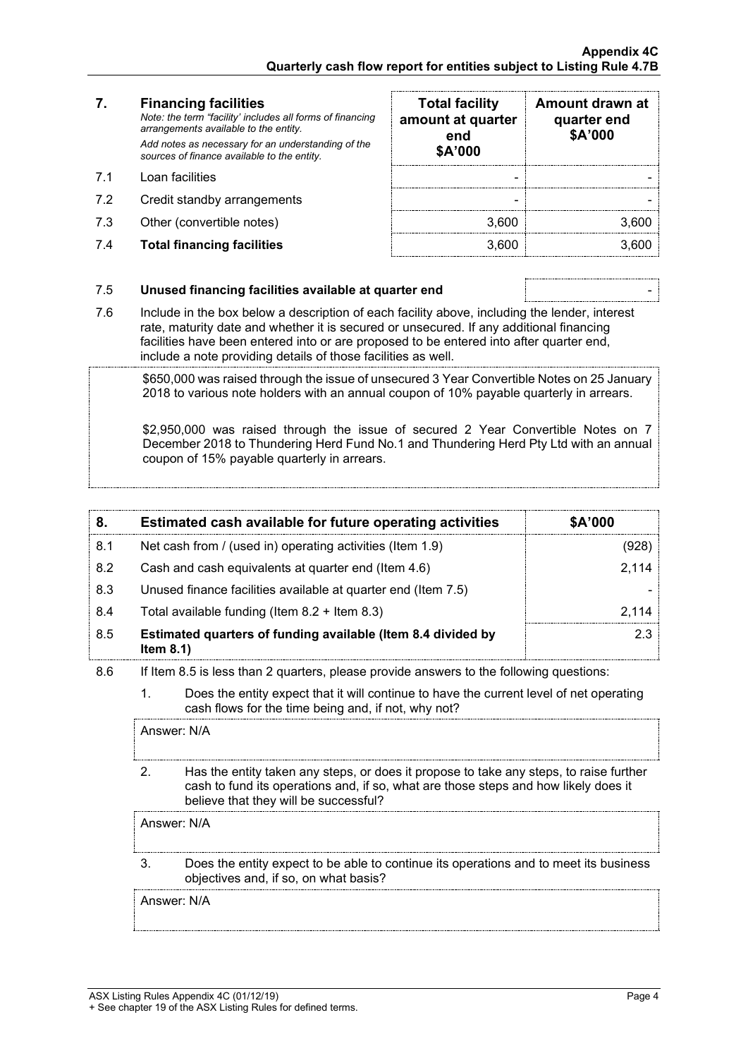### **7. Financing facilities**

- 
- 7.2 Credit standby arrangements
- 7.3 Other (convertible notes)
- 7.4 **Total financing facilities** 3,600 3,600

| 7.  | <b>Financing facilities</b><br>Note: the term "facility' includes all forms of financing<br>arrangements available to the entity.<br>Add notes as necessary for an understanding of the<br>sources of finance available to the entity. | <b>Total facility</b><br>amount at quarter<br>end<br>\$A'000 | Amount drawn at<br>quarter end<br>\$A'000 |
|-----|----------------------------------------------------------------------------------------------------------------------------------------------------------------------------------------------------------------------------------------|--------------------------------------------------------------|-------------------------------------------|
| 71  | Loan facilities                                                                                                                                                                                                                        |                                                              |                                           |
| 7.2 | Credit standby arrangements                                                                                                                                                                                                            |                                                              |                                           |
| 7.3 | Other (convertible notes)                                                                                                                                                                                                              | 3.600                                                        |                                           |
| 7.4 | <b>Total financing facilities</b>                                                                                                                                                                                                      | 3.600                                                        |                                           |

#### 7.5 **Unused financing facilities available at quarter end** -

7.6 Include in the box below a description of each facility above, including the lender, interest rate, maturity date and whether it is secured or unsecured. If any additional financing facilities have been entered into or are proposed to be entered into after quarter end, include a note providing details of those facilities as well.

\$650,000 was raised through the issue of unsecured 3 Year Convertible Notes on 25 January 2018 to various note holders with an annual coupon of 10% payable quarterly in arrears.

\$2,950,000 was raised through the issue of secured 2 Year Convertible Notes on 7 December 2018 to Thundering Herd Fund No.1 and Thundering Herd Pty Ltd with an annual coupon of 15% payable quarterly in arrears.

|     | Estimated cash available for future operating activities                     | <b>\$A'000</b> |
|-----|------------------------------------------------------------------------------|----------------|
| 8.1 | Net cash from / (used in) operating activities (Item 1.9)                    |                |
| 8.2 | Cash and cash equivalents at quarter end (Item 4.6)                          | 2 114          |
| 8.3 | Unused finance facilities available at quarter end (Item 7.5)                |                |
| 8.4 | Total available funding (Item $8.2 +$ Item $8.3$ )                           |                |
| 8.5 | Estimated quarters of funding available (Item 8.4 divided by<br>Item $8.1$ ) |                |

- 8.6 If Item 8.5 is less than 2 quarters, please provide answers to the following questions:
	- 1. Does the entity expect that it will continue to have the current level of net operating cash flows for the time being and, if not, why not?

Answer: N/A

2. Has the entity taken any steps, or does it propose to take any steps, to raise further cash to fund its operations and, if so, what are those steps and how likely does it believe that they will be successful?

Answer: N/A

3. Does the entity expect to be able to continue its operations and to meet its business objectives and, if so, on what basis?

Answer: N/A